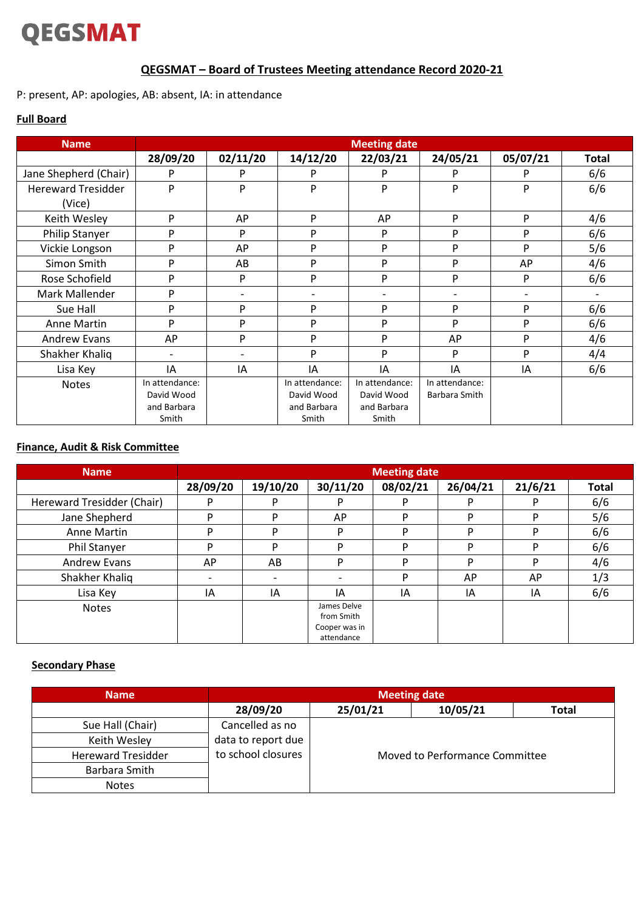# **QEGSMAT**

# **QEGSMAT – Board of Trustees Meeting attendance Record 2020-21**

P: present, AP: apologies, AB: absent, IA: in attendance

### **Full Board**

| <b>Name</b>               | <b>Meeting date</b>      |          |                |                          |                |          |              |
|---------------------------|--------------------------|----------|----------------|--------------------------|----------------|----------|--------------|
|                           | 28/09/20                 | 02/11/20 | 14/12/20       | 22/03/21                 | 24/05/21       | 05/07/21 | <b>Total</b> |
| Jane Shepherd (Chair)     | P                        | P        | P              | P                        | P              | P        | 6/6          |
| <b>Hereward Tresidder</b> | P                        | P        | P              | P                        | P              | P        | 6/6          |
| (Vice)                    |                          |          |                |                          |                |          |              |
| Keith Wesley              | P                        | AP       | P              | AP                       | P              | P        | 4/6          |
| Philip Stanyer            | P                        | P        | P              | P                        | P              | P        | 6/6          |
| Vickie Longson            | P                        | AP       | P              | P                        | P              | P        | 5/6          |
| Simon Smith               | P                        | AB       | P              | P                        | P              | AP       | 4/6          |
| Rose Schofield            | P                        | P        | P              | P                        | P              | P        | 6/6          |
| Mark Mallender            | P                        |          | $\overline{a}$ | $\overline{\phantom{a}}$ |                |          |              |
| Sue Hall                  | P                        | P        | P              | P                        | P              | P        | 6/6          |
| Anne Martin               | P                        | P        | P              | P                        | P              | P        | 6/6          |
| <b>Andrew Evans</b>       | AP                       | P        | P              | P                        | AP             | P        | 4/6          |
| Shakher Khaliq            | $\overline{\phantom{0}}$ |          | P              | P                        | P              | P        | 4/4          |
| Lisa Key                  | IA                       | IA       | IA             | IA                       | IA             | IA       | 6/6          |
| <b>Notes</b>              | In attendance:           |          | In attendance: | In attendance:           | In attendance: |          |              |
|                           | David Wood               |          | David Wood     | David Wood               | Barbara Smith  |          |              |
|                           | and Barbara              |          | and Barbara    | and Barbara              |                |          |              |
|                           | Smith                    |          | Smith          | Smith                    |                |          |              |

#### **Finance, Audit & Risk Committee**

| <b>Name</b>                | <b>Meeting date</b> |                          |                                                          |          |          |         |              |
|----------------------------|---------------------|--------------------------|----------------------------------------------------------|----------|----------|---------|--------------|
|                            | 28/09/20            | 19/10/20                 | 30/11/20                                                 | 08/02/21 | 26/04/21 | 21/6/21 | <b>Total</b> |
| Hereward Tresidder (Chair) |                     |                          |                                                          | D        |          | D       | 6/6          |
| Jane Shepherd              |                     | D                        | AP                                                       | D        | D        | D       | 5/6          |
| Anne Martin                | ם                   | D                        | P                                                        | D        | D        | D       | 6/6          |
| Phil Stanyer               | D                   | D                        | D                                                        | D        | D        | D       | 6/6          |
| <b>Andrew Evans</b>        | AP                  | AB                       | P                                                        | D        | D        | D       | 4/6          |
| Shakher Khaliq             |                     | $\overline{\phantom{0}}$ |                                                          | P        | AP       | AP      | 1/3          |
| Lisa Key                   | IA                  | IA                       | IΑ                                                       | ΙA       | ΙA       | IA      | 6/6          |
| <b>Notes</b>               |                     |                          | James Delve<br>from Smith<br>Cooper was in<br>attendance |          |          |         |              |

#### **Secondary Phase**

| <b>Name</b>               | <b>Meeting date</b> |                                |          |       |  |  |
|---------------------------|---------------------|--------------------------------|----------|-------|--|--|
|                           | 28/09/20            | 25/01/21                       | 10/05/21 | Total |  |  |
| Sue Hall (Chair)          | Cancelled as no     |                                |          |       |  |  |
| Keith Wesley              | data to report due  |                                |          |       |  |  |
| <b>Hereward Tresidder</b> | to school closures  | Moved to Performance Committee |          |       |  |  |
| Barbara Smith             |                     |                                |          |       |  |  |
| <b>Notes</b>              |                     |                                |          |       |  |  |